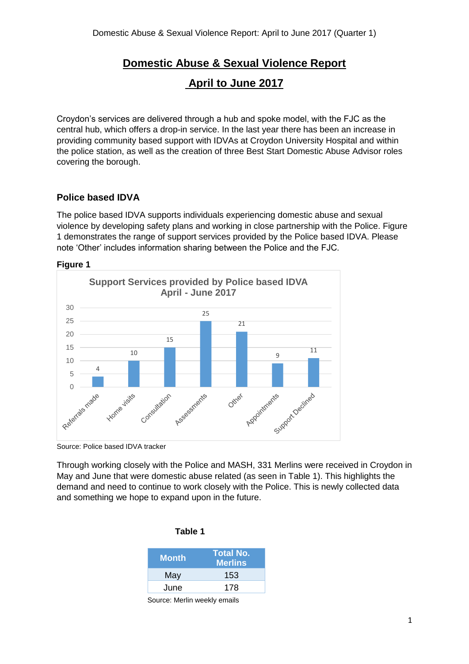# **Domestic Abuse & Sexual Violence Report**

## **April to June 2017**

Croydon's services are delivered through a hub and spoke model, with the FJC as the central hub, which offers a drop-in service. In the last year there has been an increase in providing community based support with IDVAs at Croydon University Hospital and within the police station, as well as the creation of three Best Start Domestic Abuse Advisor roles covering the borough.

### **Police based IDVA**

The police based IDVA supports individuals experiencing domestic abuse and sexual violence by developing safety plans and working in close partnership with the Police. Figure 1 demonstrates the range of support services provided by the Police based IDVA. Please note 'Other' includes information sharing between the Police and the FJC.

#### **Figure 1**



Source: Police based IDVA tracker

Through working closely with the Police and MASH, 331 Merlins were received in Croydon in May and June that were domestic abuse related (as seen in Table 1). This highlights the demand and need to continue to work closely with the Police. This is newly collected data and something we hope to expand upon in the future.

| TAUIG T      |                                    |
|--------------|------------------------------------|
| <b>Month</b> | <b>Total No.</b><br><b>Merlins</b> |
| May          | 153                                |
| June         | 178                                |

 **Table 1**

Source: Merlin weekly emails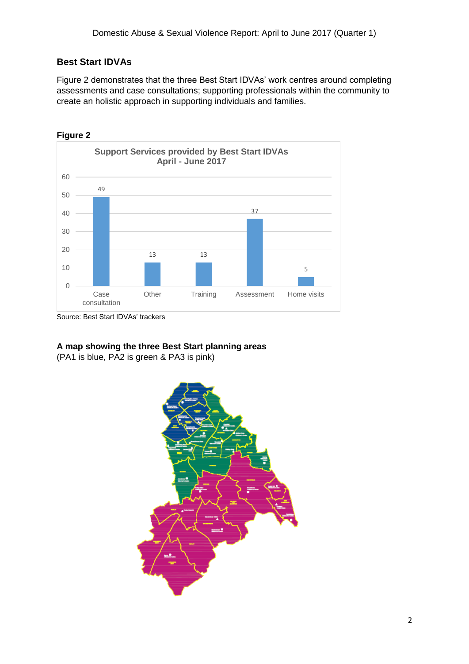## **Best Start IDVAs**

Figure 2 demonstrates that the three Best Start IDVAs' work centres around completing assessments and case consultations; supporting professionals within the community to create an holistic approach in supporting individuals and families.

### **Figure 2**



#### **A map showing the three Best Start planning areas**

(PA1 is blue, PA2 is green & PA3 is pink)

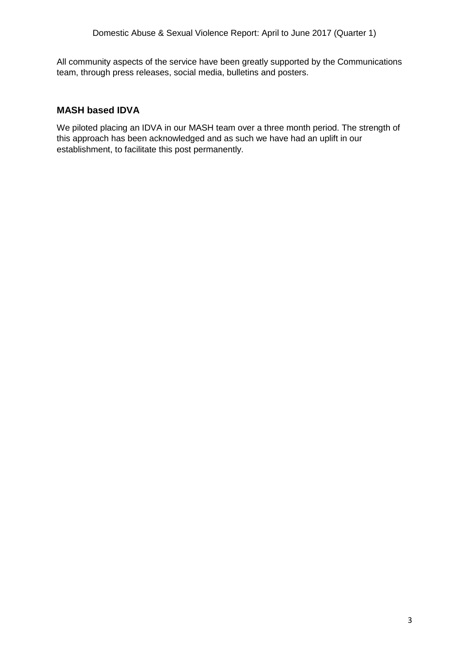All community aspects of the service have been greatly supported by the Communications team, through press releases, social media, bulletins and posters.

### **MASH based IDVA**

We piloted placing an IDVA in our MASH team over a three month period. The strength of this approach has been acknowledged and as such we have had an uplift in our establishment, to facilitate this post permanently.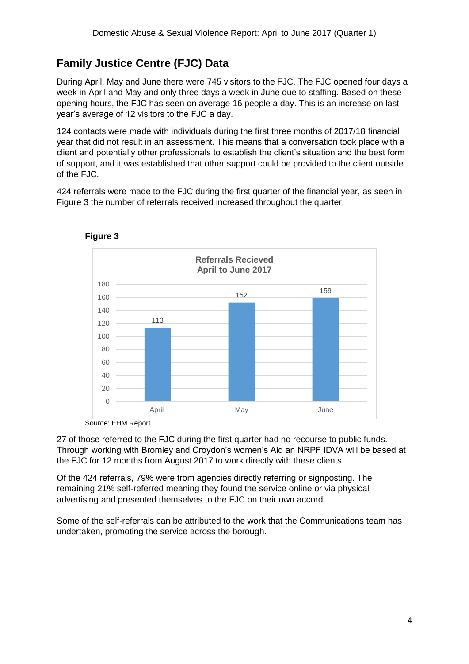# **Family Justice Centre (FJC) Data**

During April, May and June there were 745 visitors to the FJC. The FJC opened four days a week in April and May and only three days a week in June due to staffing. Based on these opening hours, the FJC has seen on average 16 people a day. This is an increase on last year's average of 12 visitors to the FJC a day.

124 contacts were made with individuals during the first three months of 2017/18 financial year that did not result in an assessment. This means that a conversation took place with a client and potentially other professionals to establish the client's situation and the best form of support, and it was established that other support could be provided to the client outside of the FJC.

424 referrals were made to the FJC during the first quarter of the financial year, as seen in Figure 3 the number of referrals received increased throughout the quarter.



**Figure 3**

Source: EHM Report

27 of those referred to the FJC during the first quarter had no recourse to public funds. Through working with Bromley and Croydon's women's Aid an NRPF IDVA will be based at the FJC for 12 months from August 2017 to work directly with these clients.

Of the 424 referrals, 79% were from agencies directly referring or signposting. The remaining 21% self-referred meaning they found the service online or via physical advertising and presented themselves to the FJC on their own accord.

Some of the self-referrals can be attributed to the work that the Communications team has undertaken, promoting the service across the borough.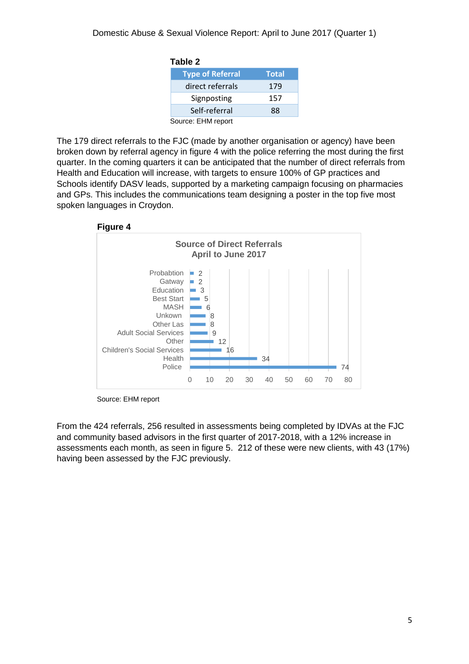| Table 2                 |       |  |
|-------------------------|-------|--|
| <b>Type of Referral</b> | Total |  |
| direct referrals        | 179   |  |
| Signposting             | 157   |  |
| Self-referral           | 88    |  |
| Source: EHM report      |       |  |

The 179 direct referrals to the FJC (made by another organisation or agency) have been broken down by referral agency in figure 4 with the police referring the most during the first quarter. In the coming quarters it can be anticipated that the number of direct referrals from Health and Education will increase, with targets to ensure 100% of GP practices and Schools identify DASV leads, supported by a marketing campaign focusing on pharmacies and GPs. This includes the communications team designing a poster in the top five most spoken languages in Croydon.





Source: EHM report

From the 424 referrals, 256 resulted in assessments being completed by IDVAs at the FJC and community based advisors in the first quarter of 2017-2018, with a 12% increase in assessments each month, as seen in figure 5. 212 of these were new clients, with 43 (17%) having been assessed by the FJC previously.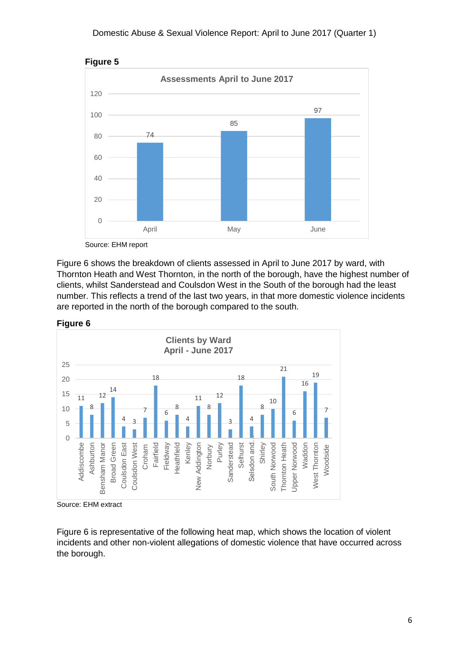#### Domestic Abuse & Sexual Violence Report: April to June 2017 (Quarter 1)



Source: EHM report

Figure 6 shows the breakdown of clients assessed in April to June 2017 by ward, with Thornton Heath and West Thornton, in the north of the borough, have the highest number of clients, whilst Sanderstead and Coulsdon West in the South of the borough had the least number. This reflects a trend of the last two years, in that more domestic violence incidents are reported in the north of the borough compared to the south.





Source: EHM extract

Figure 6 is representative of the following heat map, which shows the location of violent incidents and other non-violent allegations of domestic violence that have occurred across the borough.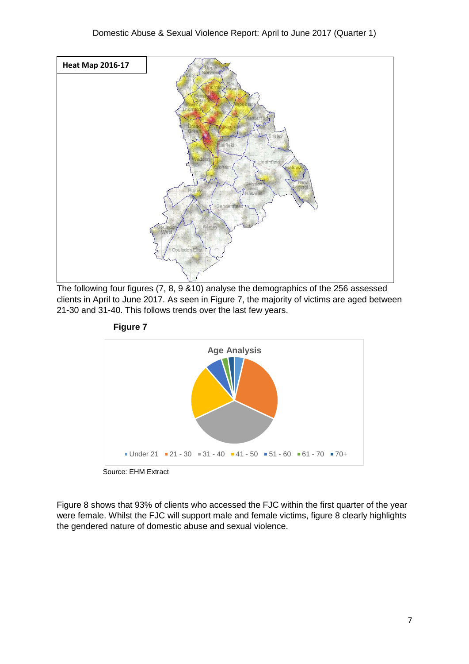

The following four figures (7, 8, 9 &10) analyse the demographics of the 256 assessed clients in April to June 2017. As seen in Figure 7, the majority of victims are aged between 21-30 and 31-40. This follows trends over the last few years.



**Figure 7**

Figure 8 shows that 93% of clients who accessed the FJC within the first quarter of the year were female. Whilst the FJC will support male and female victims, figure 8 clearly highlights the gendered nature of domestic abuse and sexual violence.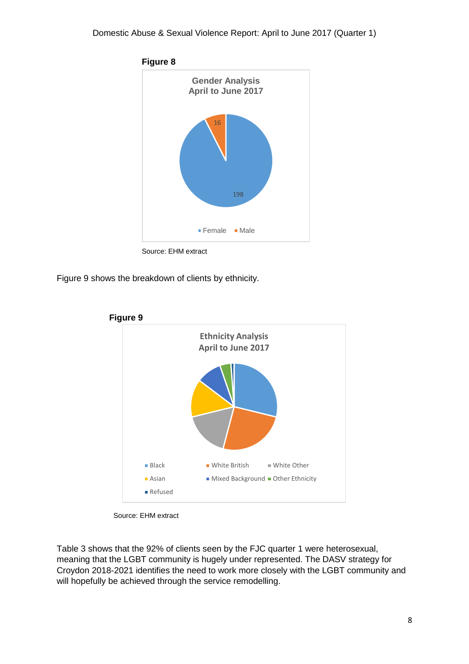

Source: EHM extract

Figure 9 shows the breakdown of clients by ethnicity.



**Figure 9**

Source: EHM extract

Table 3 shows that the 92% of clients seen by the FJC quarter 1 were heterosexual, meaning that the LGBT community is hugely under represented. The DASV strategy for Croydon 2018-2021 identifies the need to work more closely with the LGBT community and will hopefully be achieved through the service remodelling.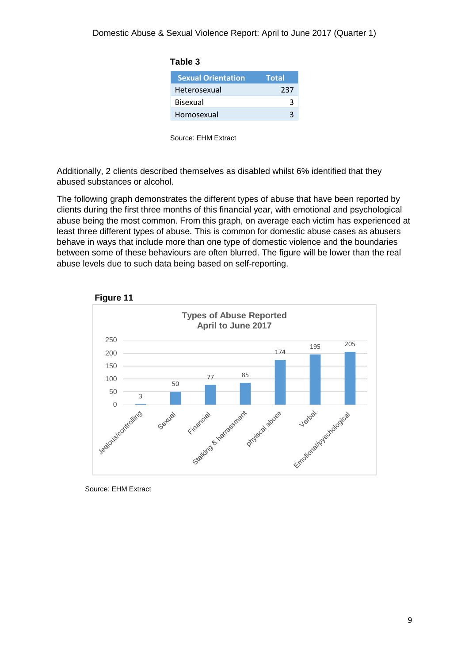| ۱<br>יי<br>ı٠ |  |
|---------------|--|
|---------------|--|

| <b>Sexual Orientation</b> | Total |
|---------------------------|-------|
| Heterosexual              | 237   |
| <b>Bisexual</b>           |       |
| Homosexual                |       |

Source: EHM Extract

Additionally, 2 clients described themselves as disabled whilst 6% identified that they abused substances or alcohol.

The following graph demonstrates the different types of abuse that have been reported by clients during the first three months of this financial year, with emotional and psychological abuse being the most common. From this graph, on average each victim has experienced at least three different types of abuse. This is common for domestic abuse cases as abusers behave in ways that include more than one type of domestic violence and the boundaries between some of these behaviours are often blurred. The figure will be lower than the real abuse levels due to such data being based on self-reporting.



Source: EHM Extract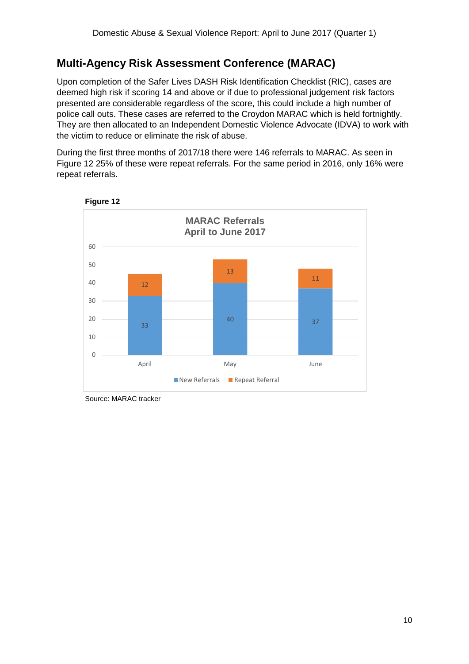# **Multi-Agency Risk Assessment Conference (MARAC)**

Upon completion of the Safer Lives DASH Risk Identification Checklist (RIC), cases are deemed high risk if scoring 14 and above or if due to professional judgement risk factors presented are considerable regardless of the score, this could include a high number of police call outs. These cases are referred to the Croydon MARAC which is held fortnightly. They are then allocated to an Independent Domestic Violence Advocate (IDVA) to work with the victim to reduce or eliminate the risk of abuse.

During the first three months of 2017/18 there were 146 referrals to MARAC. As seen in Figure 12 25% of these were repeat referrals. For the same period in 2016, only 16% were repeat referrals.





Source: MARAC tracker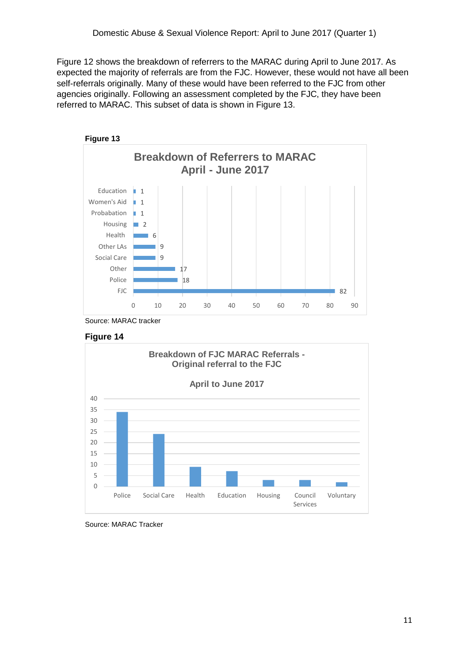Figure 12 shows the breakdown of referrers to the MARAC during April to June 2017. As expected the majority of referrals are from the FJC. However, these would not have all been self-referrals originally. Many of these would have been referred to the FJC from other agencies originally. Following an assessment completed by the FJC, they have been referred to MARAC. This subset of data is shown in Figure 13.



Source: MARAC tracker





Source: MARAC Tracker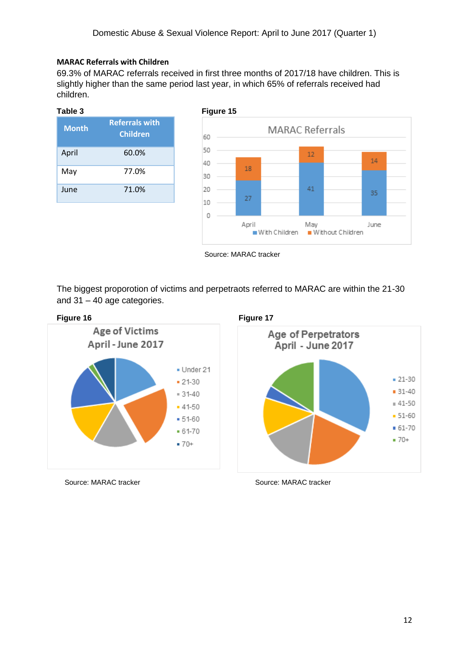#### **MARAC Referrals with Children**

69.3% of MARAC referrals received in first three months of 2017/18 have children. This is slightly higher than the same period last year, in which 65% of referrals received had children.

| Table 3      |                                          |
|--------------|------------------------------------------|
| <b>Month</b> | <b>Referrals with</b><br><b>Children</b> |
| April        | 60.0%                                    |
| May          | 77.0%                                    |
| June         | 71.0%                                    |



Source: MARAC tracker

The biggest proporotion of victims and perpetraots referred to MARAC are within the 21-30 and 31 – 40 age categories.





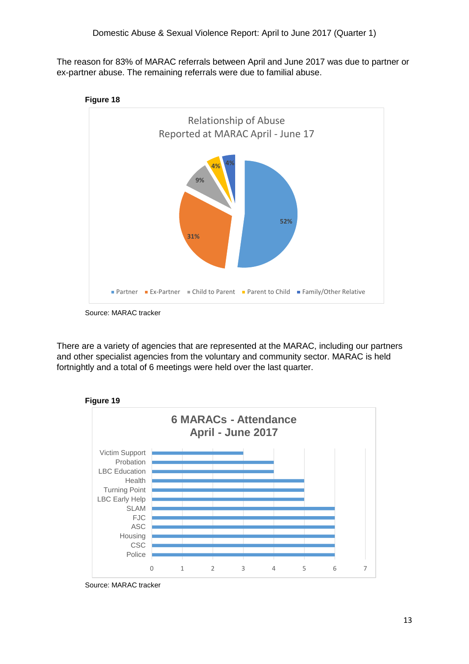The reason for 83% of MARAC referrals between April and June 2017 was due to partner or ex-partner abuse. The remaining referrals were due to familial abuse.



**Figure 18**

There are a variety of agencies that are represented at the MARAC, including our partners and other specialist agencies from the voluntary and community sector. MARAC is held fortnightly and a total of 6 meetings were held over the last quarter.



Source: MARAC tracker

Source: MARAC tracker